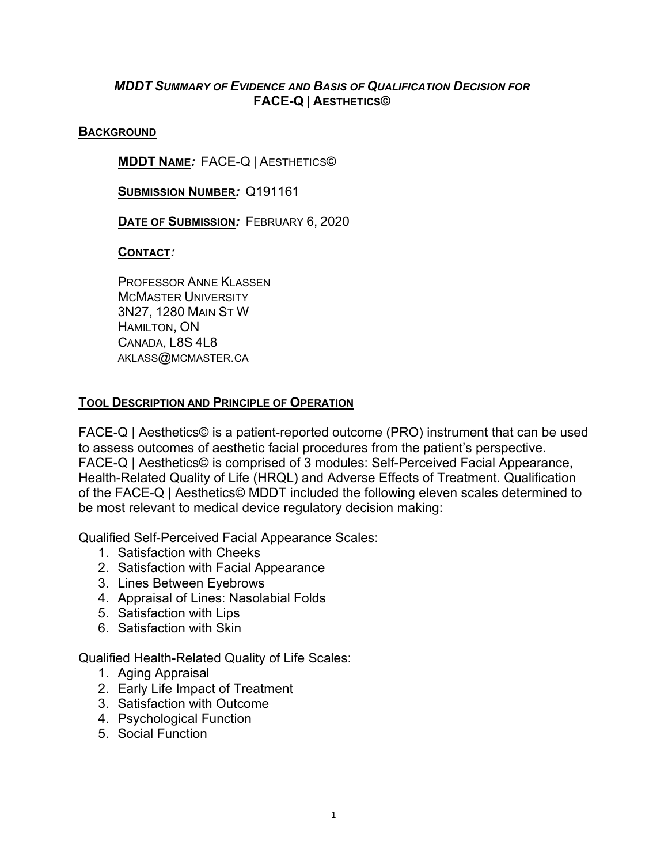## *MDDT SUMMARY OF EVIDENCE AND BASIS OF QUALIFICATION DECISION FOR* **FACE-Q | AESTHETICS©**

#### **BACKGROUND**

**MDDT NAME***:* FACE-Q | AESTHETICS©

**SUBMISSION NUMBER***:* Q191161

**DATE OF SUBMISSION***:* FEBRUARY 6, 2020

### **CONTACT***:*

PROFESSOR ANNE KLASSEN MCMASTER UNIVERSITY 3N27, 1280 MAIN ST W HAMILTON, ON CANADA, L8S 4L8 AKLASS@MCMASTER.CA

### **TOOL DESCRIPTION AND PRINCIPLE OF OPERATION**

FACE-Q | Aesthetics© is a patient-reported outcome (PRO) instrument that can be used to assess outcomes of aesthetic facial procedures from the patient's perspective. FACE-Q | Aesthetics© is comprised of 3 modules: Self-Perceived Facial Appearance, Health-Related Quality of Life (HRQL) and Adverse Effects of Treatment. Qualification of the FACE-Q | Aesthetics© MDDT included the following eleven scales determined to be most relevant to medical device regulatory decision making:

Qualified Self-Perceived Facial Appearance Scales:

- 1. Satisfaction with Cheeks
- 2. Satisfaction with Facial Appearance
- 3. Lines Between Eyebrows
- 4. Appraisal of Lines: Nasolabial Folds
- 5. Satisfaction with Lips
- 6. Satisfaction with Skin

Qualified Health-Related Quality of Life Scales:

- 1. Aging Appraisal
- 2. Early Life Impact of Treatment
- 3. Satisfaction with Outcome
- 4. Psychological Function
- 5. Social Function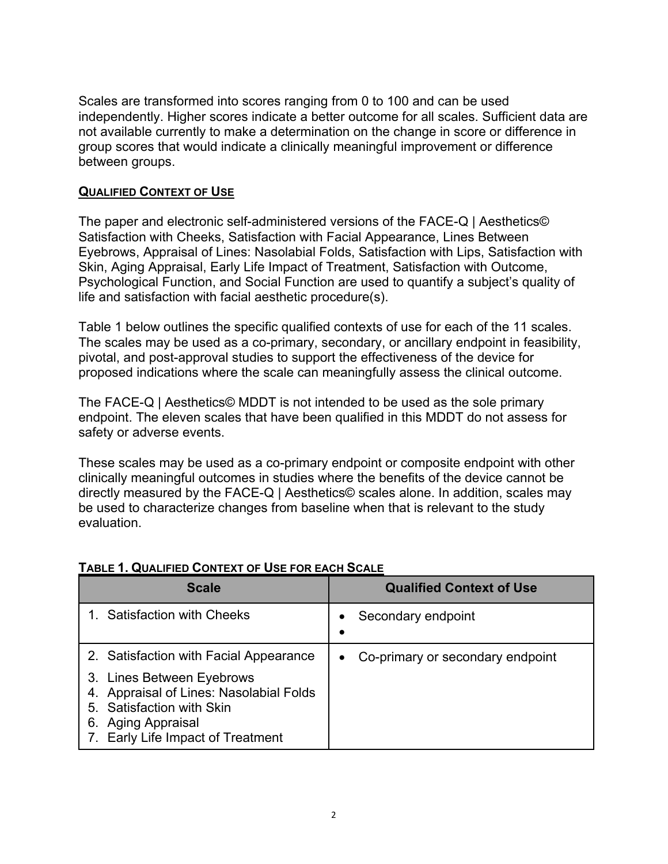Scales are transformed into scores ranging from 0 to 100 and can be used independently. Higher scores indicate a better outcome for all scales. Sufficient data are not available currently to make a determination on the change in score or difference in group scores that would indicate a clinically meaningful improvement or difference between groups.

## **QUALIFIED CONTEXT OF USE**

The paper and electronic self-administered versions of the FACE-Q | Aesthetics© Satisfaction with Cheeks, Satisfaction with Facial Appearance, Lines Between Eyebrows, Appraisal of Lines: Nasolabial Folds, Satisfaction with Lips, Satisfaction with Skin, Aging Appraisal, Early Life Impact of Treatment, Satisfaction with Outcome, Psychological Function, and Social Function are used to quantify a subject's quality of life and satisfaction with facial aesthetic procedure(s).

Table 1 below outlines the specific qualified contexts of use for each of the 11 scales. The scales may be used as a co-primary, secondary, or ancillary endpoint in feasibility, pivotal, and post-approval studies to support the effectiveness of the device for proposed indications where the scale can meaningfully assess the clinical outcome.

The FACE-Q | Aesthetics© MDDT is not intended to be used as the sole primary endpoint. The eleven scales that have been qualified in this MDDT do not assess for safety or adverse events.

These scales may be used as a co-primary endpoint or composite endpoint with other clinically meaningful outcomes in studies where the benefits of the device cannot be directly measured by the FACE-Q | Aesthetics© scales alone. In addition, scales may be used to characterize changes from baseline when that is relevant to the study evaluation.

| <b>Scale</b>                                                                                                                                                              | <b>Qualified Context of Use</b>               |  |
|---------------------------------------------------------------------------------------------------------------------------------------------------------------------------|-----------------------------------------------|--|
| 1. Satisfaction with Cheeks                                                                                                                                               | Secondary endpoint                            |  |
| 2. Satisfaction with Facial Appearance                                                                                                                                    | Co-primary or secondary endpoint<br>$\bullet$ |  |
| 3. Lines Between Eyebrows<br>Appraisal of Lines: Nasolabial Folds<br>4.<br>5. Satisfaction with Skin<br><b>Aging Appraisal</b><br>6.<br>7. Early Life Impact of Treatment |                                               |  |

## **TABLE 1. QUALIFIED CONTEXT OF USE FOR EACH SCALE**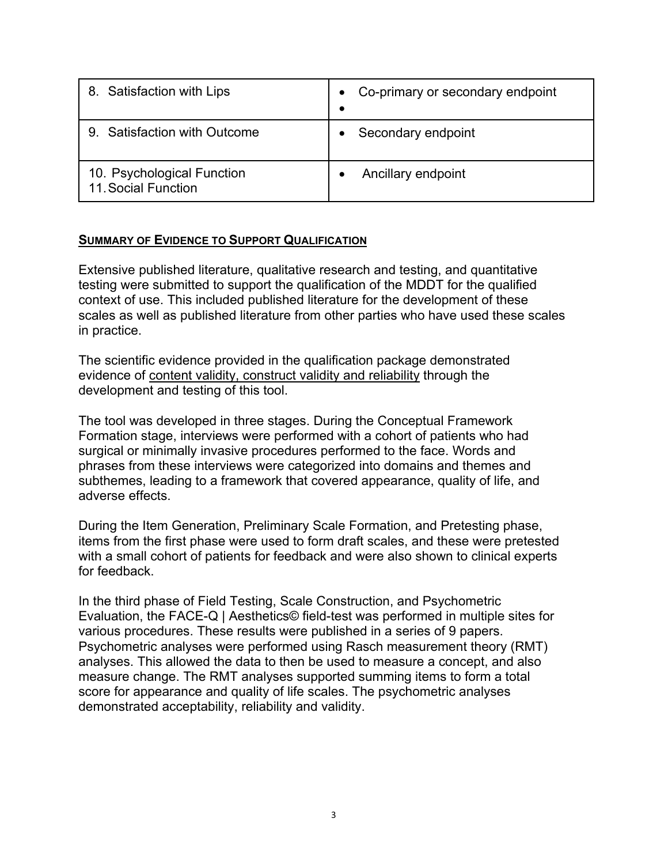| 8. Satisfaction with Lips                         | Co-primary or secondary endpoint |
|---------------------------------------------------|----------------------------------|
| 9. Satisfaction with Outcome                      | Secondary endpoint               |
| 10. Psychological Function<br>11. Social Function | Ancillary endpoint               |

### **SUMMARY OF EVIDENCE TO SUPPORT QUALIFICATION**

Extensive published literature, qualitative research and testing, and quantitative testing were submitted to support the qualification of the MDDT for the qualified context of use. This included published literature for the development of these scales as well as published literature from other parties who have used these scales in practice.

The scientific evidence provided in the qualification package demonstrated evidence of content validity, construct validity and reliability through the development and testing of this tool.

The tool was developed in three stages. During the Conceptual Framework Formation stage, interviews were performed with a cohort of patients who had surgical or minimally invasive procedures performed to the face. Words and phrases from these interviews were categorized into domains and themes and subthemes, leading to a framework that covered appearance, quality of life, and adverse effects.

During the Item Generation, Preliminary Scale Formation, and Pretesting phase, items from the first phase were used to form draft scales, and these were pretested with a small cohort of patients for feedback and were also shown to clinical experts for feedback.

In the third phase of Field Testing, Scale Construction, and Psychometric Evaluation, the FACE-Q | Aesthetics© field-test was performed in multiple sites for various procedures. These results were published in a series of 9 papers. Psychometric analyses were performed using Rasch measurement theory (RMT) analyses. This allowed the data to then be used to measure a concept, and also measure change. The RMT analyses supported summing items to form a total score for appearance and quality of life scales. The psychometric analyses demonstrated acceptability, reliability and validity.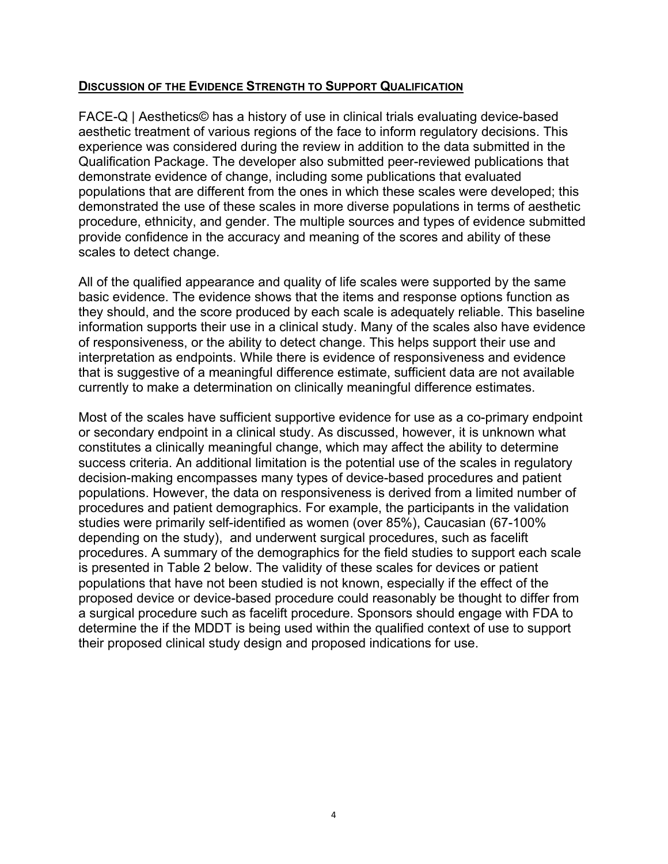### **DISCUSSION OF THE EVIDENCE STRENGTH TO SUPPORT QUALIFICATION**

FACE-Q | Aesthetics© has a history of use in clinical trials evaluating device-based aesthetic treatment of various regions of the face to inform regulatory decisions. This experience was considered during the review in addition to the data submitted in the Qualification Package. The developer also submitted peer-reviewed publications that demonstrate evidence of change, including some publications that evaluated populations that are different from the ones in which these scales were developed; this demonstrated the use of these scales in more diverse populations in terms of aesthetic procedure, ethnicity, and gender. The multiple sources and types of evidence submitted provide confidence in the accuracy and meaning of the scores and ability of these scales to detect change.

All of the qualified appearance and quality of life scales were supported by the same basic evidence. The evidence shows that the items and response options function as they should, and the score produced by each scale is adequately reliable. This baseline information supports their use in a clinical study. Many of the scales also have evidence of responsiveness, or the ability to detect change. This helps support their use and interpretation as endpoints. While there is evidence of responsiveness and evidence that is suggestive of a meaningful difference estimate, sufficient data are not available currently to make a determination on clinically meaningful difference estimates.

Most of the scales have sufficient supportive evidence for use as a co-primary endpoint or secondary endpoint in a clinical study. As discussed, however, it is unknown what constitutes a clinically meaningful change, which may affect the ability to determine success criteria. An additional limitation is the potential use of the scales in regulatory decision-making encompasses many types of device-based procedures and patient populations. However, the data on responsiveness is derived from a limited number of procedures and patient demographics. For example, the participants in the validation studies were primarily self-identified as women (over 85%), Caucasian (67-100% depending on the study), and underwent surgical procedures, such as facelift procedures. A summary of the demographics for the field studies to support each scale is presented in Table 2 below. The validity of these scales for devices or patient populations that have not been studied is not known, especially if the effect of the proposed device or device-based procedure could reasonably be thought to differ from a surgical procedure such as facelift procedure. Sponsors should engage with FDA to determine the if the MDDT is being used within the qualified context of use to support their proposed clinical study design and proposed indications for use.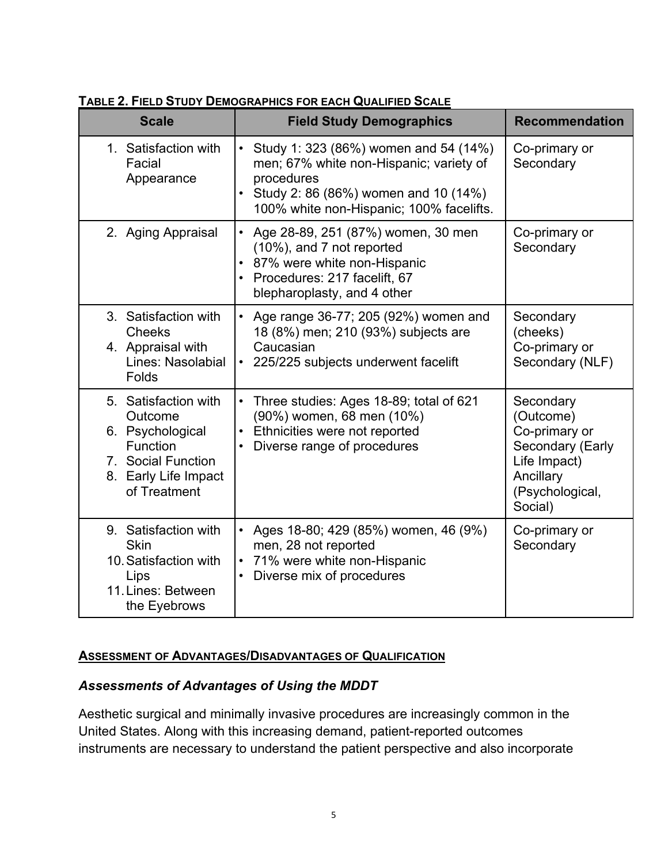| <b>Scale</b>                                                                                                                         | <b>Field Study Demographics</b>                                                                                                                                                      | <b>Recommendation</b>                                                                                                  |
|--------------------------------------------------------------------------------------------------------------------------------------|--------------------------------------------------------------------------------------------------------------------------------------------------------------------------------------|------------------------------------------------------------------------------------------------------------------------|
| 1. Satisfaction with<br>Facial<br>Appearance                                                                                         | Study 1: 323 (86%) women and 54 (14%)<br>men; 67% white non-Hispanic; variety of<br>procedures<br>• Study 2: 86 (86%) women and 10 (14%)<br>100% white non-Hispanic; 100% facelifts. | Co-primary or<br>Secondary                                                                                             |
| 2. Aging Appraisal                                                                                                                   | Age 28-89, 251 (87%) women, 30 men<br>$\bullet$<br>(10%), and 7 not reported<br>• 87% were white non-Hispanic<br>Procedures: 217 facelift, 67<br>blepharoplasty, and 4 other         | Co-primary or<br>Secondary                                                                                             |
| 3. Satisfaction with<br><b>Cheeks</b><br>4. Appraisal with<br>Lines: Nasolabial<br>Folds                                             | Age range 36-77; 205 (92%) women and<br>18 (8%) men; 210 (93%) subjects are<br>Caucasian<br>225/225 subjects underwent facelift<br>$\bullet$                                         | Secondary<br>(cheeks)<br>Co-primary or<br>Secondary (NLF)                                                              |
| 5. Satisfaction with<br>Outcome<br>6. Psychological<br><b>Function</b><br>7. Social Function<br>8. Early Life Impact<br>of Treatment | Three studies: Ages 18-89; total of 621<br>(90%) women, 68 men (10%)<br>Ethnicities were not reported<br>Diverse range of procedures                                                 | Secondary<br>(Outcome)<br>Co-primary or<br>Secondary (Early<br>Life Impact)<br>Ancillary<br>(Psychological,<br>Social) |
| 9. Satisfaction with<br><b>Skin</b><br>10. Satisfaction with<br>Lips<br>11. Lines: Between<br>the Eyebrows                           | Ages 18-80; 429 (85%) women, 46 (9%)<br>men, 28 not reported<br>71% were white non-Hispanic<br>Diverse mix of procedures                                                             | Co-primary or<br>Secondary                                                                                             |

## **TABLE 2. FIELD STUDY DEMOGRAPHICS FOR EACH QUALIFIED SCALE**

## **ASSESSMENT OF ADVANTAGES/DISADVANTAGES OF QUALIFICATION**

## *Assessments of Advantages of Using the MDDT*

Aesthetic surgical and minimally invasive procedures are increasingly common in the United States. Along with this increasing demand, patient-reported outcomes instruments are necessary to understand the patient perspective and also incorporate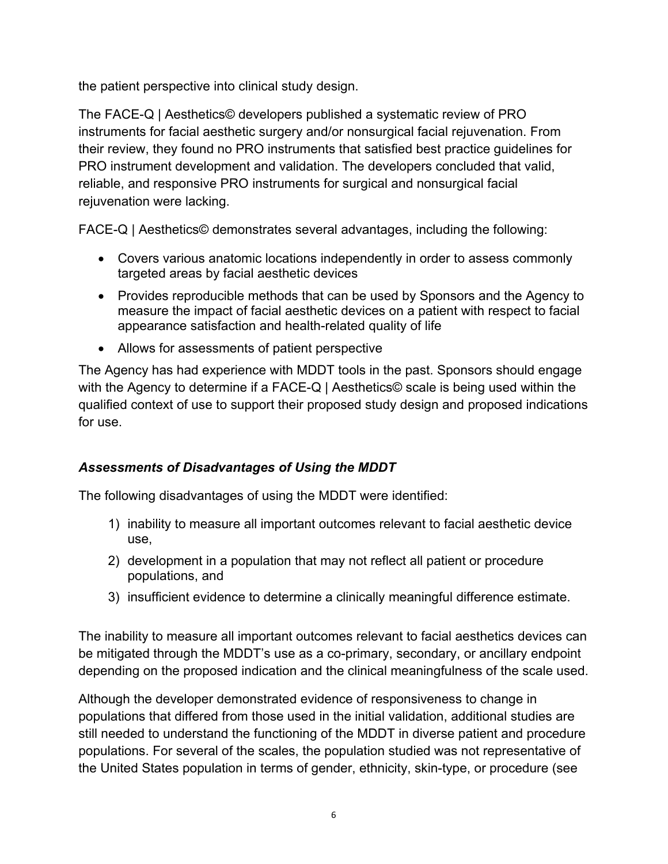the patient perspective into clinical study design.

The FACE-Q | Aesthetics© developers published a systematic review of PRO instruments for facial aesthetic surgery and/or nonsurgical facial rejuvenation. From their review, they found no PRO instruments that satisfied best practice guidelines for PRO instrument development and validation. The developers concluded that valid, reliable, and responsive PRO instruments for surgical and nonsurgical facial rejuvenation were lacking.

FACE-Q | Aesthetics© demonstrates several advantages, including the following:

- Covers various anatomic locations independently in order to assess commonly targeted areas by facial aesthetic devices
- Provides reproducible methods that can be used by Sponsors and the Agency to measure the impact of facial aesthetic devices on a patient with respect to facial appearance satisfaction and health-related quality of life
- Allows for assessments of patient perspective

The Agency has had experience with MDDT tools in the past. Sponsors should engage with the Agency to determine if a FACE-Q | Aesthetics© scale is being used within the qualified context of use to support their proposed study design and proposed indications for use.

# *Assessments of Disadvantages of Using the MDDT*

The following disadvantages of using the MDDT were identified:

- 1) inability to measure all important outcomes relevant to facial aesthetic device use,
- 2) development in a population that may not reflect all patient or procedure populations, and
- 3) insufficient evidence to determine a clinically meaningful difference estimate.

The inability to measure all important outcomes relevant to facial aesthetics devices can be mitigated through the MDDT's use as a co-primary, secondary, or ancillary endpoint depending on the proposed indication and the clinical meaningfulness of the scale used.

Although the developer demonstrated evidence of responsiveness to change in populations that differed from those used in the initial validation, additional studies are still needed to understand the functioning of the MDDT in diverse patient and procedure populations. For several of the scales, the population studied was not representative of the United States population in terms of gender, ethnicity, skin-type, or procedure (see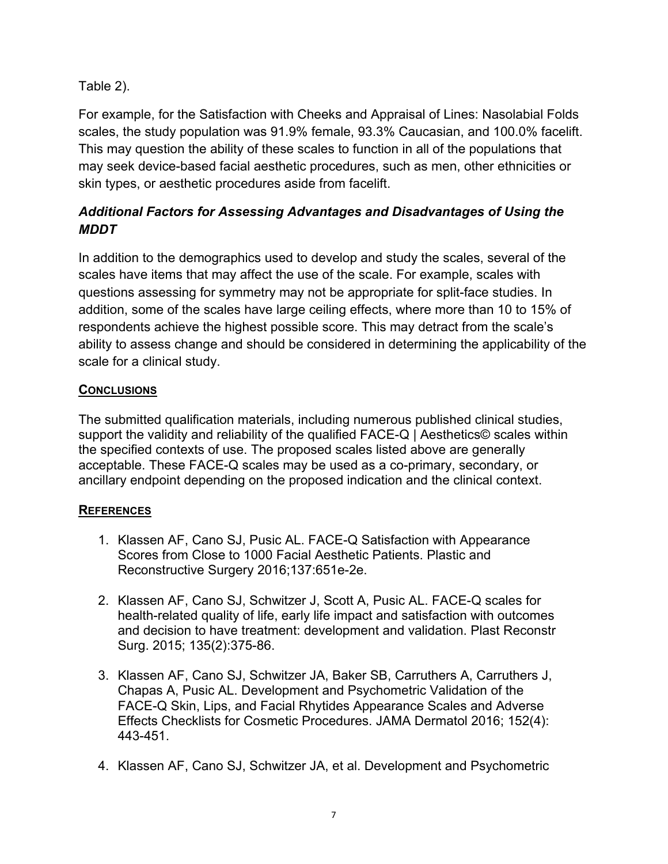Table 2).

For example, for the Satisfaction with Cheeks and Appraisal of Lines: Nasolabial Folds scales, the study population was 91.9% female, 93.3% Caucasian, and 100.0% facelift. This may question the ability of these scales to function in all of the populations that may seek device-based facial aesthetic procedures, such as men, other ethnicities or skin types, or aesthetic procedures aside from facelift.

# *Additional Factors for Assessing Advantages and Disadvantages of Using the MDDT*

In addition to the demographics used to develop and study the scales, several of the scales have items that may affect the use of the scale. For example, scales with questions assessing for symmetry may not be appropriate for split-face studies. In addition, some of the scales have large ceiling effects, where more than 10 to 15% of respondents achieve the highest possible score. This may detract from the scale's ability to assess change and should be considered in determining the applicability of the scale for a clinical study.

# **CONCLUSIONS**

The submitted qualification materials, including numerous published clinical studies, support the validity and reliability of the qualified FACE-Q | Aesthetics© scales within the specified contexts of use. The proposed scales listed above are generally acceptable. These FACE-Q scales may be used as a co-primary, secondary, or ancillary endpoint depending on the proposed indication and the clinical context.

## **REFERENCES**

- 1. Klassen AF, Cano SJ, Pusic AL. FACE-Q Satisfaction with Appearance Scores from Close to 1000 Facial Aesthetic Patients. Plastic and Reconstructive Surgery 2016;137:651e-2e.
- 2. Klassen AF, Cano SJ, Schwitzer J, Scott A, Pusic AL. FACE-Q scales for health-related quality of life, early life impact and satisfaction with outcomes and decision to have treatment: development and validation. Plast Reconstr Surg. 2015; 135(2):375-86.
- 3. Klassen AF, Cano SJ, Schwitzer JA, Baker SB, Carruthers A, Carruthers J, Chapas A, Pusic AL. Development and Psychometric Validation of the FACE-Q Skin, Lips, and Facial Rhytides Appearance Scales and Adverse Effects Checklists for Cosmetic Procedures. JAMA Dermatol 2016; 152(4): 443-451.
- 4. Klassen AF, Cano SJ, Schwitzer JA, et al. Development and Psychometric